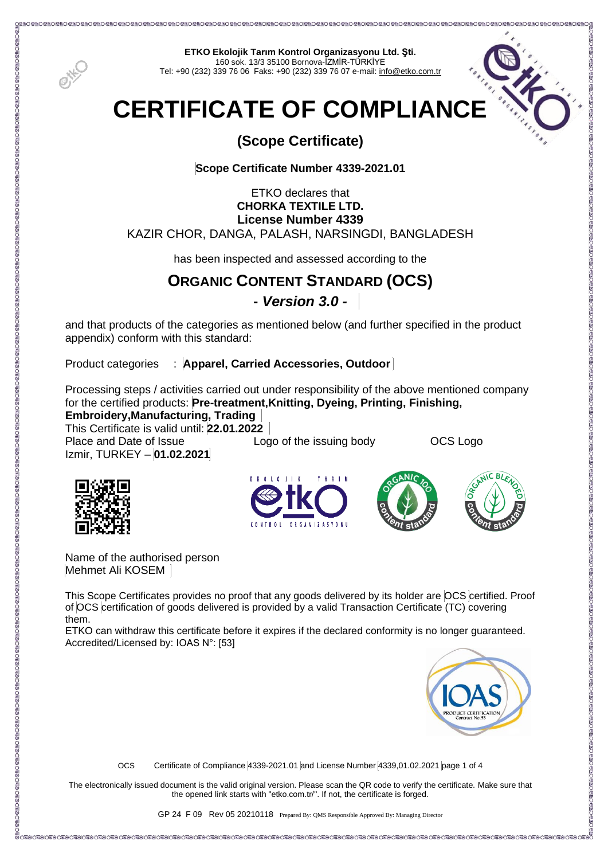

**ETKO Ekolojik Tarım Kontrol Organizasyonu Ltd. Şti.** 160 sok. 13/3 35100 Bornova-İZMİR-TÜRKİYE Tel: +90 (232) 339 76 06 Faks: +90 (232) 339 76 07 e-mail[: info@etko.com.tr](mailto:info@etko.org)

# **CERTIFICATE OF COMPLIANCE**

## **(Scope Certificate)**

### **Scope Certificate Number 4339-2021.01**

#### ETKO declares that **CHORKA TEXTILE LTD. License Number 4339** KAZIR CHOR, DANGA, PALASH, NARSINGDI, BANGLADESH

has been inspected and assessed according to the

### **ORGANIC CONTENT STANDARD (OCS)**

### **-** *Version 3.0 -*

and that products of the categories as mentioned below (and further specified in the product appendix) conform with this standard:

Product categories : **Apparel, Carried Accessories, Outdoor** 

Processing steps / activities carried out under responsibility of the above mentioned company for the certified products: **Pre-treatment,Knitting, Dyeing, Printing, Finishing,** 

**Embroidery,Manufacturing, Trading**

This Certificate is valid until: **22.01.2022** Place and Date of Issue Logo of the issuing body CCS Logo Izmir, TURKEY – **01.02.2021**









Name of the authorised person Mehmet Ali KOSEM

This Scope Certificates provides no proof that any goods delivered by its holder are OCS certified. Proof of OCS certification of goods delivered is provided by a valid Transaction Certificate (TC) covering them.

ETKO can withdraw this certificate before it expires if the declared conformity is no longer guaranteed. Accredited/Licensed by: IOAS N°: [53]



OCS Certificate of Compliance 4339-2021.01 and License Number 4339,01.02.2021 page 1 of 4

The electronically issued document is the valid original version. Please scan the QR code to verify the certificate. Make sure that the opened link starts with "etko.com.tr/". If not, the certificate is forged.

e Tho Shing Ching Ching Ching Ching Ching Ching Ching Ching Ching Ching Ching Ching Ching Ching Ching Ching Ching Ching Ching Ching Ching Ching Ching Ching Ching Ching Ching Ching Ching Ching Ching Ching Ching Ching<br>Chin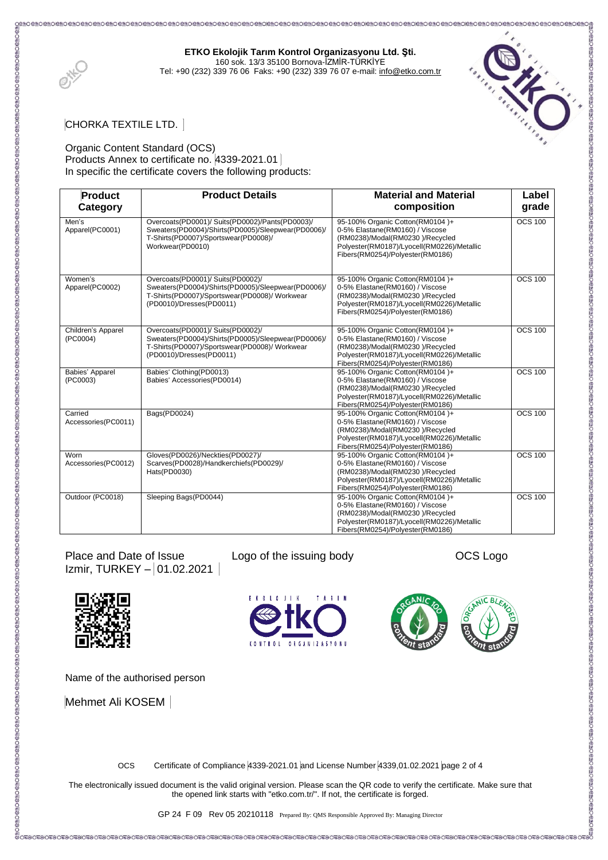#### **ETKO Ekolojik Tarım Kontrol Organizasyonu Ltd. Şti.**

160 sok. 13/3 35100 Bornova-İZMİR-TÜRKİYE Tel: +90 (232) 339 76 06 Faks: +90 (232) 339 76 07 e-mail[: info@etko.com.tr](mailto:info@etko.org)



#### CHORKA TEXTILE LTD.

#### Organic Content Standard (OCS) Products Annex to certificate no. 4339-2021.01 In specific the certificate covers the following products:

| <b>Product</b><br>Category     | <b>Product Details</b>                                                                                                                                               | <b>Material and Material</b><br>composition                                                                                                                                             | Label<br>grade |
|--------------------------------|----------------------------------------------------------------------------------------------------------------------------------------------------------------------|-----------------------------------------------------------------------------------------------------------------------------------------------------------------------------------------|----------------|
| Men's<br>Apparel(PC0001)       | Overcoats(PD0001)/ Suits(PD0002)/Pants(PD0003)/<br>Sweaters(PD0004)/Shirts(PD0005)/Sleepwear(PD0006)/<br>T-Shirts(PD0007)/Sportswear(PD0008)/<br>Workwear(PD0010)    | 95-100% Organic Cotton(RM0104)+<br>0-5% Elastane(RM0160) / Viscose<br>(RM0238)/Modal(RM0230)/Recycled<br>Polyester(RM0187)/Lyocell(RM0226)/Metallic<br>Fibers(RM0254)/Polyester(RM0186) | <b>OCS 100</b> |
| Women's<br>Apparel(PC0002)     | Overcoats(PD0001)/ Suits(PD0002)/<br>Sweaters(PD0004)/Shirts(PD0005)/Sleepwear(PD0006)/<br>T-Shirts(PD0007)/Sportswear(PD0008)/ Workwear<br>(PD0010)/Dresses(PD0011) | 95-100% Organic Cotton(RM0104)+<br>0-5% Elastane(RM0160) / Viscose<br>(RM0238)/Modal(RM0230)/Recycled<br>Polyester(RM0187)/Lyocell(RM0226)/Metallic<br>Fibers(RM0254)/Polyester(RM0186) | <b>OCS 100</b> |
| Children's Apparel<br>(PC0004) | Overcoats(PD0001)/ Suits(PD0002)/<br>Sweaters(PD0004)/Shirts(PD0005)/Sleepwear(PD0006)/<br>T-Shirts(PD0007)/Sportswear(PD0008)/ Workwear<br>(PD0010)/Dresses(PD0011) | 95-100% Organic Cotton(RM0104)+<br>0-5% Elastane(RM0160) / Viscose<br>(RM0238)/Modal(RM0230)/Recycled<br>Polyester(RM0187)/Lyocell(RM0226)/Metallic<br>Fibers(RM0254)/Polyester(RM0186) | <b>OCS 100</b> |
| Babies' Apparel<br>(PC0003)    | Babies' Clothing(PD0013)<br>Babies' Accessories(PD0014)                                                                                                              | 95-100% Organic Cotton(RM0104)+<br>0-5% Elastane(RM0160) / Viscose<br>(RM0238)/Modal(RM0230)/Recycled<br>Polyester(RM0187)/Lyocell(RM0226)/Metallic<br>Fibers(RM0254)/Polyester(RM0186) | <b>OCS 100</b> |
| Carried<br>Accessories(PC0011) | Bags(PD0024)                                                                                                                                                         | 95-100% Organic Cotton(RM0104)+<br>0-5% Elastane(RM0160) / Viscose<br>(RM0238)/Modal(RM0230)/Recycled<br>Polyester(RM0187)/Lyocell(RM0226)/Metallic<br>Fibers(RM0254)/Polyester(RM0186) | <b>OCS 100</b> |
| Worn<br>Accessories(PC0012)    | Gloves(PD0026)/Neckties(PD0027)/<br>Scarves(PD0028)/Handkerchiefs(PD0029)/<br>Hats(PD0030)                                                                           | 95-100% Organic Cotton(RM0104)+<br>0-5% Elastane(RM0160) / Viscose<br>(RM0238)/Modal(RM0230)/Recycled<br>Polyester(RM0187)/Lyocell(RM0226)/Metallic<br>Fibers(RM0254)/Polyester(RM0186) | <b>OCS 100</b> |
| Outdoor (PC0018)               | Sleeping Bags(PD0044)                                                                                                                                                | 95-100% Organic Cotton(RM0104)+<br>0-5% Elastane(RM0160) / Viscose<br>(RM0238)/Modal(RM0230)/Recycled<br>Polyester(RM0187)/Lyocell(RM0226)/Metallic<br>Fibers(RM0254)/Polyester(RM0186) | <b>OCS 100</b> |

Place and Date of Issue Logo of the issuing body CCS Logo Izmir, TURKEY – 01.02.2021



Name of the authorised person

Mehmet Ali KOSEM









OCS Certificate of Compliance 4339-2021.01 and License Number 4339,01.02.2021 page 2 of 4

The electronically issued document is the valid original version. Please scan the QR code to verify the certificate. Make sure that the opened link starts with "etko.com.tr/". If not, the certificate is forged.

GP 24 F 09 Rev 05 20210118 Prepared By: QMS Responsible Approved By: Managing Director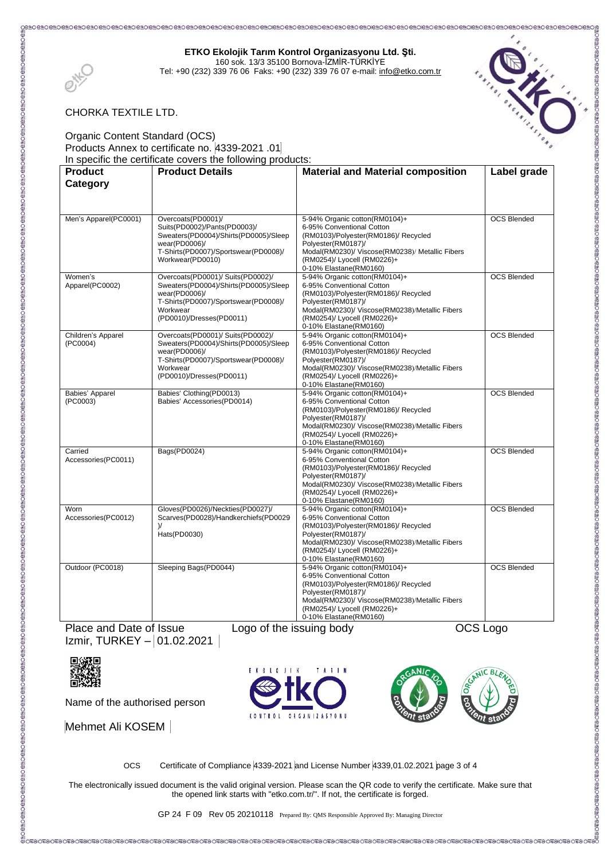#### **ETKO Ekolojik Tarım Kontrol Organizasyonu Ltd. Şti.**

160 sok. 13/3 35100 Bornova-İZMİR-TÜRKİYE Tel: +90 (232) 339 76 06 Faks: +90 (232) 339 76 07 e-mail[: info@etko.com.tr](mailto:info@etko.org)





#### CHORKA TEXTILE LTD.

Organic Content Standard (OCS) Products Annex to certificate no. 4339-2021 .01 In specific the certificate covers the following products:

| <b>Product</b>                 | <b>Product Details</b>                                                                                                                                                      | <b>Material and Material composition</b>                                                                                                                                                                                             | Label grade        |
|--------------------------------|-----------------------------------------------------------------------------------------------------------------------------------------------------------------------------|--------------------------------------------------------------------------------------------------------------------------------------------------------------------------------------------------------------------------------------|--------------------|
| Category                       |                                                                                                                                                                             |                                                                                                                                                                                                                                      |                    |
|                                |                                                                                                                                                                             |                                                                                                                                                                                                                                      |                    |
| Men's Apparel(PC0001)          | Overcoats(PD0001)/<br>Suits(PD0002)/Pants(PD0003)/<br>Sweaters(PD0004)/Shirts(PD0005)/Sleep<br>wear(PD0006)/<br>T-Shirts(PD0007)/Sportswear(PD0008)/<br>Workwear(PD0010)    | 5-94% Organic cotton(RM0104)+<br>6-95% Conventional Cotton<br>(RM0103)/Polyester(RM0186)/ Recycled<br>Polyester(RM0187)/<br>Modal(RM0230)/ Viscose(RM0238)/ Metallic Fibers<br>(RM0254)/ Lyocell (RM0226)+<br>0-10% Elastane(RM0160) | <b>OCS Blended</b> |
| Women's<br>Apparel(PC0002)     | Overcoats(PD0001)/ Suits(PD0002)/<br>Sweaters(PD0004)/Shirts(PD0005)/Sleep<br>wear(PD0006)/<br>T-Shirts(PD0007)/Sportswear(PD0008)/<br>Workwear<br>(PD0010)/Dresses(PD0011) | 5-94% Organic cotton(RM0104)+<br>6-95% Conventional Cotton<br>(RM0103)/Polyester(RM0186)/ Recycled<br>Polyester(RM0187)/<br>Modal(RM0230)/ Viscose(RM0238)/Metallic Fibers<br>(RM0254)/ Lyocell (RM0226)+<br>0-10% Elastane(RM0160)  | <b>OCS Blended</b> |
| Children's Apparel<br>(PC0004) | Overcoats(PD0001)/ Suits(PD0002)/<br>Sweaters(PD0004)/Shirts(PD0005)/Sleep<br>wear(PD0006)/<br>T-Shirts(PD0007)/Sportswear(PD0008)/<br>Workwear<br>(PD0010)/Dresses(PD0011) | 5-94% Organic cotton(RM0104)+<br>6-95% Conventional Cotton<br>(RM0103)/Polyester(RM0186)/ Recycled<br>Polyester(RM0187)/<br>Modal(RM0230)/ Viscose(RM0238)/Metallic Fibers<br>(RM0254)/ Lyocell (RM0226)+<br>0-10% Elastane(RM0160)  | <b>OCS Blended</b> |
| Babies' Apparel<br>(PC0003)    | Babies' Clothing(PD0013)<br>Babies' Accessories(PD0014)                                                                                                                     | 5-94% Organic cotton(RM0104)+<br>6-95% Conventional Cotton<br>(RM0103)/Polyester(RM0186)/ Recycled<br>Polyester(RM0187)/<br>Modal(RM0230)/ Viscose(RM0238)/Metallic Fibers<br>(RM0254)/ Lyocell (RM0226)+<br>0-10% Elastane(RM0160)  | <b>OCS Blended</b> |
| Carried<br>Accessories(PC0011) | Bags(PD0024)                                                                                                                                                                | 5-94% Organic cotton(RM0104)+<br>6-95% Conventional Cotton<br>(RM0103)/Polyester(RM0186)/ Recycled<br>Polyester(RM0187)/<br>Modal(RM0230)/ Viscose(RM0238)/Metallic Fibers<br>(RM0254)/ Lyocell (RM0226)+<br>0-10% Elastane(RM0160)  | <b>OCS Blended</b> |
| Worn<br>Accessories(PC0012)    | Gloves(PD0026)/Neckties(PD0027)/<br>Scarves(PD0028)/Handkerchiefs(PD0029<br>$\mathcal{V}$<br>Hats(PD0030)                                                                   | 5-94% Organic cotton(RM0104)+<br>6-95% Conventional Cotton<br>(RM0103)/Polyester(RM0186)/ Recycled<br>Polyester(RM0187)/<br>Modal(RM0230)/ Viscose(RM0238)/Metallic Fibers<br>(RM0254)/ Lyocell (RM0226)+<br>0-10% Elastane(RM0160)  | <b>OCS Blended</b> |
| Outdoor (PC0018)               | Sleeping Bags(PD0044)                                                                                                                                                       | 5-94% Organic cotton(RM0104)+<br>6-95% Conventional Cotton<br>(RM0103)/Polyester(RM0186)/ Recycled<br>Polyester(RM0187)/<br>Modal(RM0230)/ Viscose(RM0238)/Metallic Fibers<br>(RM0254)/ Lyocell (RM0226)+<br>0-10% Elastane(RM0160)  | <b>OCS Blended</b> |

Place and Date of Issue Logo of the issuing body CCS Logo Izmir, TURKEY – 01.02.2021



Name of the authorised person

Mehmet Ali KOSEM





OCS Certificate of Compliance 4339-2021 and License Number 4339,01.02.2021 page 3 of 4

The electronically issued document is the valid original version. Please scan the QR code to verify the certificate. Make sure that the opened link starts with "etko.com.tr/". If not, the certificate is forged.

GP 24 F 09 Rev 05 20210118 Prepared By: QMS Responsible Approved By: Managing Director